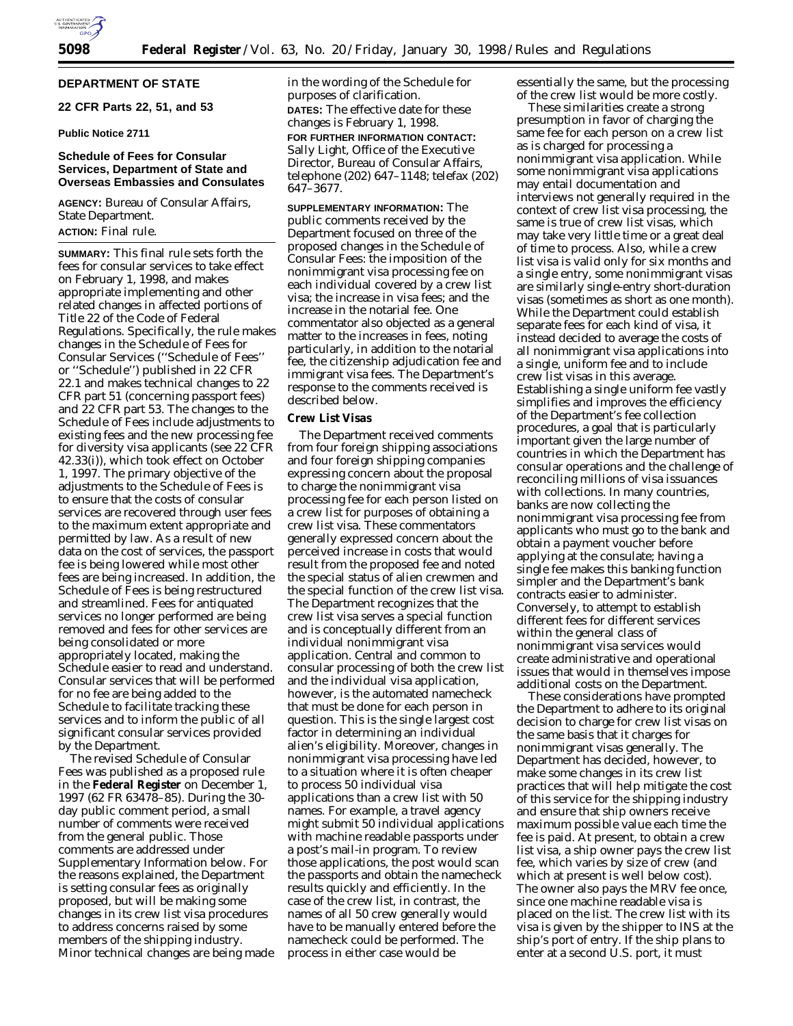

# **DEPARTMENT OF STATE**

# **22 CFR Parts 22, 51, and 53**

# **Public Notice 2711**

# **Schedule of Fees for Consular Services, Department of State and Overseas Embassies and Consulates**

**AGENCY:** Bureau of Consular Affairs, State Department. **ACTION:** Final rule.

**SUMMARY:** This final rule sets forth the fees for consular services to take effect on February 1, 1998, and makes appropriate implementing and other related changes in affected portions of Title 22 of the Code of Federal Regulations. Specifically, the rule makes changes in the Schedule of Fees for Consular Services (''Schedule of Fees'' or ''Schedule'') published in 22 CFR 22.1 and makes technical changes to 22 CFR part 51 (concerning passport fees) and 22 CFR part 53. The changes to the Schedule of Fees include adjustments to existing fees and the new processing fee for diversity visa applicants (see 22 CFR 42.33(i)), which took effect on October 1, 1997. The primary objective of the adjustments to the Schedule of Fees is to ensure that the costs of consular services are recovered through user fees to the maximum extent appropriate and permitted by law. As a result of new data on the cost of services, the passport fee is being lowered while most other fees are being increased. In addition, the Schedule of Fees is being restructured and streamlined. Fees for antiquated services no longer performed are being removed and fees for other services are being consolidated or more appropriately located, making the Schedule easier to read and understand. Consular services that will be performed for no fee are being added to the Schedule to facilitate tracking these services and to inform the public of all significant consular services provided by the Department.

The revised Schedule of Consular Fees was published as a proposed rule in the **Federal Register** on December 1, 1997 (62 FR 63478–85). During the 30 day public comment period, a small number of comments were received from the general public. Those comments are addressed under Supplementary Information below. For the reasons explained, the Department is setting consular fees as originally proposed, but will be making some changes in its crew list visa procedures to address concerns raised by some members of the shipping industry. Minor technical changes are being made in the wording of the Schedule for purposes of clarification. **DATES:** The effective date for these changes is February 1, 1998.

**FOR FURTHER INFORMATION CONTACT:** Sally Light, Office of the Executive Director, Bureau of Consular Affairs, telephone (202) 647–1148; telefax (202) 647–3677.

**SUPPLEMENTARY INFORMATION:** The public comments received by the Department focused on three of the proposed changes in the Schedule of Consular Fees: the imposition of the nonimmigrant visa processing fee on each individual covered by a crew list visa; the increase in visa fees; and the increase in the notarial fee. One commentator also objected as a general matter to the increases in fees, noting particularly, in addition to the notarial fee, the citizenship adjudication fee and immigrant visa fees. The Department's response to the comments received is described below.

### **Crew List Visas**

The Department received comments from four foreign shipping associations and four foreign shipping companies expressing concern about the proposal to charge the nonimmigrant visa processing fee for each person listed on a crew list for purposes of obtaining a crew list visa. These commentators generally expressed concern about the perceived increase in costs that would result from the proposed fee and noted the special status of alien crewmen and the special function of the crew list visa. The Department recognizes that the crew list visa serves a special function and is conceptually different from an individual nonimmigrant visa application. Central and common to consular processing of both the crew list and the individual visa application, however, is the automated namecheck that must be done for each person in question. This is the single largest cost factor in determining an individual alien's eligibility. Moreover, changes in nonimmigrant visa processing have led to a situation where it is often cheaper to process 50 individual visa applications than a crew list with 50 names. For example, a travel agency might submit 50 individual applications with machine readable passports under a post's mail-in program. To review those applications, the post would scan the passports and obtain the namecheck results quickly and efficiently. In the case of the crew list, in contrast, the names of all 50 crew generally would have to be manually entered before the namecheck could be performed. The process in either case would be

essentially the same, but the processing of the crew list would be more costly.

These similarities create a strong presumption in favor of charging the same fee for each person on a crew list as is charged for processing a nonimmigrant visa application. While some nonimmigrant visa applications may entail documentation and interviews not generally required in the context of crew list visa processing, the same is true of crew list visas, which may take very little time or a great deal of time to process. Also, while a crew list visa is valid only for six months and a single entry, some nonimmigrant visas are similarly single-entry short-duration visas (sometimes as short as one month). While the Department could establish separate fees for each kind of visa, it instead decided to average the costs of all nonimmigrant visa applications into a single, uniform fee and to include crew list visas in this average. Establishing a single uniform fee vastly simplifies and improves the efficiency of the Department's fee collection procedures, a goal that is particularly important given the large number of countries in which the Department has consular operations and the challenge of reconciling millions of visa issuances with collections. In many countries, banks are now collecting the nonimmigrant visa processing fee from applicants who must go to the bank and obtain a payment voucher before applying at the consulate; having a single fee makes this banking function simpler and the Department's bank contracts easier to administer. Conversely, to attempt to establish different fees for different services within the general class of nonimmigrant visa services would create administrative and operational issues that would in themselves impose additional costs on the Department.

These considerations have prompted the Department to adhere to its original decision to charge for crew list visas on the same basis that it charges for nonimmigrant visas generally. The Department has decided, however, to make some changes in its crew list practices that will help mitigate the cost of this service for the shipping industry and ensure that ship owners receive maximum possible value each time the fee is paid. At present, to obtain a crew list visa, a ship owner pays the crew list fee, which varies by size of crew (and which at present is well below cost). The owner also pays the MRV fee once, since one machine readable visa is placed on the list. The crew list with its visa is given by the shipper to INS at the ship's port of entry. If the ship plans to enter at a second U.S. port, it must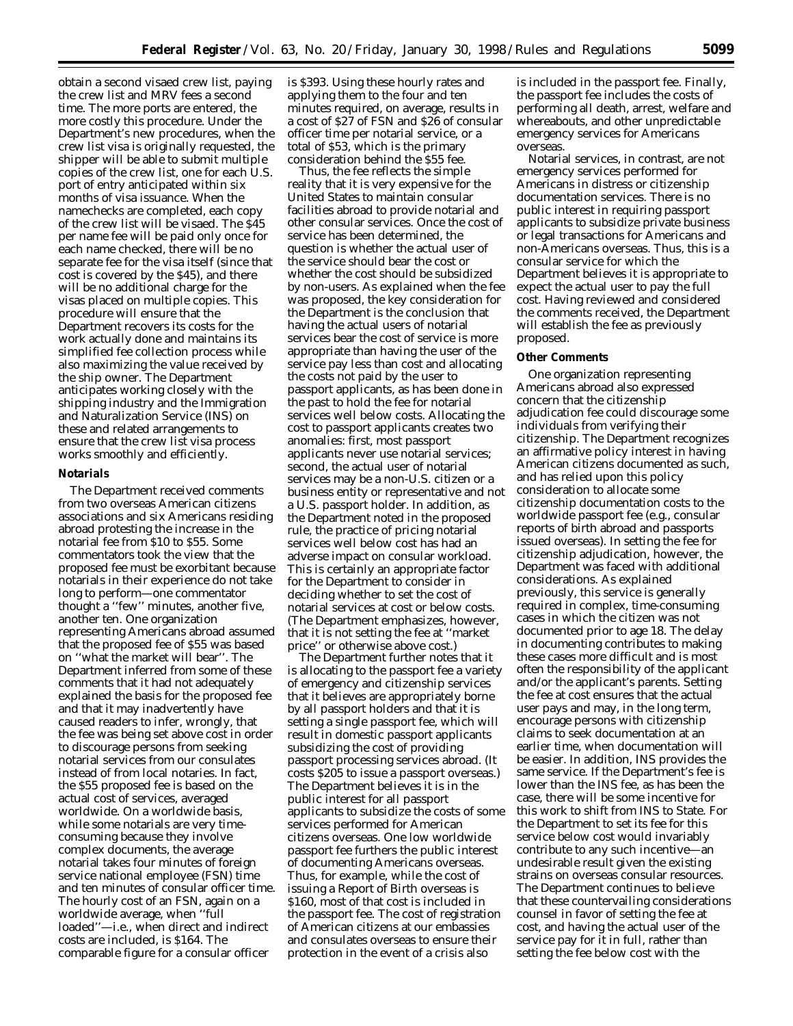obtain a second visaed crew list, paying the crew list and MRV fees a second time. The more ports are entered, the more costly this procedure. Under the Department's new procedures, when the crew list visa is originally requested, the shipper will be able to submit multiple copies of the crew list, one for each U.S. port of entry anticipated within six months of visa issuance. When the namechecks are completed, each copy of the crew list will be visaed. The \$45 per name fee will be paid only once for each name checked, there will be no separate fee for the visa itself (since that cost is covered by the \$45), and there will be no additional charge for the visas placed on multiple copies. This procedure will ensure that the Department recovers its costs for the work actually done and maintains its simplified fee collection process while also maximizing the value received by the ship owner. The Department anticipates working closely with the shipping industry and the Immigration and Naturalization Service (INS) on these and related arrangements to ensure that the crew list visa process works smoothly and efficiently.

#### **Notarials**

The Department received comments from two overseas American citizens associations and six Americans residing abroad protesting the increase in the notarial fee from \$10 to \$55. Some commentators took the view that the proposed fee must be exorbitant because notarials in their experience do not take long to perform—one commentator thought a ''few'' minutes, another five, another ten. One organization representing Americans abroad assumed that the proposed fee of \$55 was based on ''what the market will bear''. The Department inferred from some of these comments that it had not adequately explained the basis for the proposed fee and that it may inadvertently have caused readers to infer, wrongly, that the fee was being set above cost in order to discourage persons from seeking notarial services from our consulates instead of from local notaries. In fact, the \$55 proposed fee is based on the actual cost of services, averaged worldwide. On a worldwide basis, while some notarials are very timeconsuming because they involve complex documents, the average notarial takes four minutes of foreign service national employee (FSN) time and ten minutes of consular officer time. The hourly cost of an FSN, again on a worldwide average, when ''full loaded''—i.e., when direct and indirect costs are included, is \$164. The comparable figure for a consular officer

is \$393. Using these hourly rates and applying them to the four and ten minutes required, on average, results in a cost of \$27 of FSN and \$26 of consular officer time per notarial service, or a total of \$53, which is the primary consideration behind the \$55 fee.

Thus, the fee reflects the simple reality that it is very expensive for the United States to maintain consular facilities abroad to provide notarial and other consular services. Once the cost of service has been determined, the question is whether the actual user of the service should bear the cost or whether the cost should be subsidized by non-users. As explained when the fee was proposed, the key consideration for the Department is the conclusion that having the actual users of notarial services bear the cost of service is more appropriate than having the user of the service pay less than cost and allocating the costs not paid by the user to passport applicants, as has been done in the past to hold the fee for notarial services well below costs. Allocating the cost to passport applicants creates two anomalies: first, most passport applicants never use notarial services; second, the actual user of notarial services may be a non-U.S. citizen or a business entity or representative and not a U.S. passport holder. In addition, as the Department noted in the proposed rule, the practice of pricing notarial services well below cost has had an adverse impact on consular workload. This is certainly an appropriate factor for the Department to consider in deciding whether to set the cost of notarial services at cost or below costs. (The Department emphasizes, however, that it is not setting the fee at ''market price'' or otherwise above cost.)

The Department further notes that it is allocating to the passport fee a variety of emergency and citizenship services that it believes are appropriately borne by all passport holders and that it is setting a single passport fee, which will result in domestic passport applicants subsidizing the cost of providing passport processing services abroad. (It costs \$205 to issue a passport overseas.) The Department believes it is in the public interest for all passport applicants to subsidize the costs of some services performed for American citizens overseas. One low worldwide passport fee furthers the public interest of documenting Americans overseas. Thus, for example, while the cost of issuing a Report of Birth overseas is \$160, most of that cost is included in the passport fee. The cost of registration of American citizens at our embassies and consulates overseas to ensure their protection in the event of a crisis also

is included in the passport fee. Finally, the passport fee includes the costs of performing all death, arrest, welfare and whereabouts, and other unpredictable emergency services for Americans overseas.

Notarial services, in contrast, are not emergency services performed for Americans in distress or citizenship documentation services. There is no public interest in requiring passport applicants to subsidize private business or legal transactions for Americans and non-Americans overseas. Thus, this is a consular service for which the Department believes it is appropriate to expect the actual user to pay the full cost. Having reviewed and considered the comments received, the Department will establish the fee as previously proposed.

#### **Other Comments**

One organization representing Americans abroad also expressed concern that the citizenship adjudication fee could discourage some individuals from verifying their citizenship. The Department recognizes an affirmative policy interest in having American citizens documented as such, and has relied upon this policy consideration to allocate some citizenship documentation costs to the worldwide passport fee (e.g., consular reports of birth abroad and passports issued overseas). In setting the fee for citizenship adjudication, however, the Department was faced with additional considerations. As explained previously, this service is generally required in complex, time-consuming cases in which the citizen was not documented prior to age 18. The delay in documenting contributes to making these cases more difficult and is most often the responsibility of the applicant and/or the applicant's parents. Setting the fee at cost ensures that the actual user pays and may, in the long term, encourage persons with citizenship claims to seek documentation at an earlier time, when documentation will be easier. In addition, INS provides the same service. If the Department's fee is lower than the INS fee, as has been the case, there will be some incentive for this work to shift from INS to State. For the Department to set its fee for this service below cost would invariably contribute to any such incentive—an undesirable result given the existing strains on overseas consular resources. The Department continues to believe that these countervailing considerations counsel in favor of setting the fee at cost, and having the actual user of the service pay for it in full, rather than setting the fee below cost with the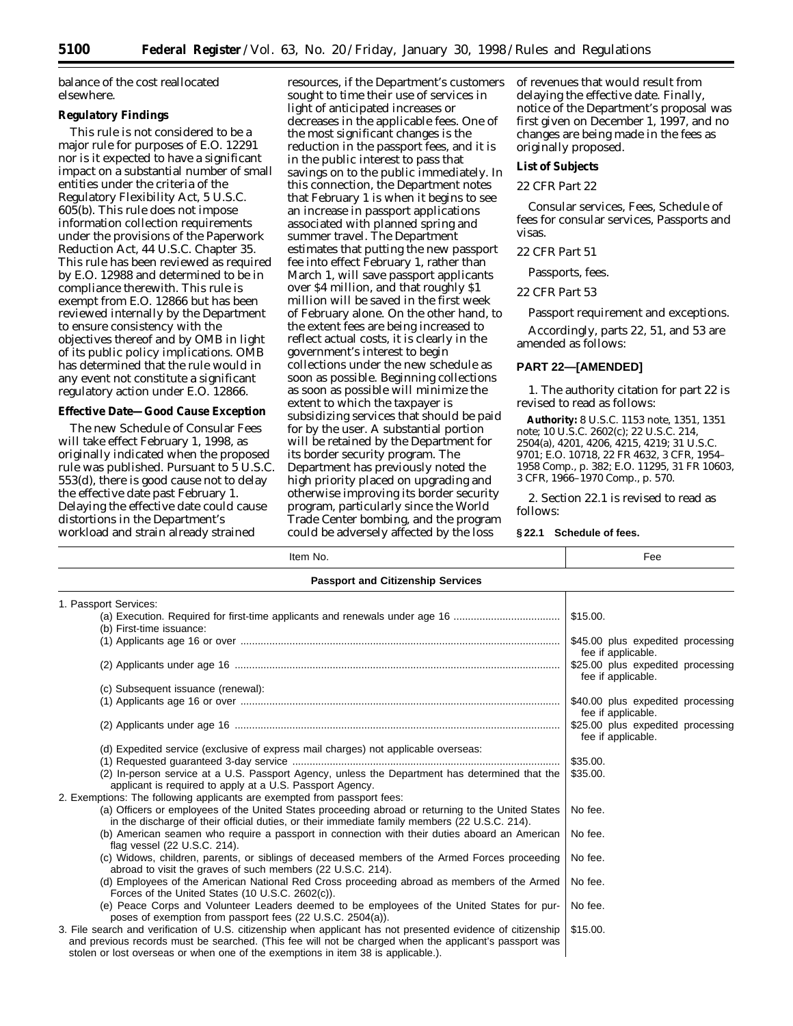balance of the cost reallocated elsewhere.

# **Regulatory Findings**

This rule is not considered to be a major rule for purposes of E.O. 12291 nor is it expected to have a significant impact on a substantial number of small entities under the criteria of the Regulatory Flexibility Act, 5 U.S.C. 605(b). This rule does not impose information collection requirements under the provisions of the Paperwork Reduction Act, 44 U.S.C. Chapter 35. This rule has been reviewed as required by E.O. 12988 and determined to be in compliance therewith. This rule is exempt from E.O. 12866 but has been reviewed internally by the Department to ensure consistency with the objectives thereof and by OMB in light of its public policy implications. OMB has determined that the rule would in any event not constitute a significant regulatory action under E.O. 12866.

# **Effective Date—Good Cause Exception**

The new Schedule of Consular Fees will take effect February 1, 1998, as originally indicated when the proposed rule was published. Pursuant to 5 U.S.C. 553(d), there is good cause not to delay the effective date past February 1. Delaying the effective date could cause distortions in the Department's workload and strain already strained

resources, if the Department's customers sought to time their use of services in light of anticipated increases or decreases in the applicable fees. One of the most significant changes is the reduction in the passport fees, and it is in the public interest to pass that savings on to the public immediately. In this connection, the Department notes that February 1 is when it begins to see an increase in passport applications associated with planned spring and summer travel. The Department estimates that putting the new passport fee into effect February 1, rather than March 1, will save passport applicants over \$4 million, and that roughly \$1 million will be saved in the first week of February alone. On the other hand, to the extent fees are being increased to reflect actual costs, it is clearly in the government's interest to begin collections under the new schedule as soon as possible. Beginning collections as soon as possible will minimize the extent to which the taxpayer is subsidizing services that should be paid for by the user. A substantial portion will be retained by the Department for its border security program. The Department has previously noted the high priority placed on upgrading and otherwise improving its border security program, particularly since the World Trade Center bombing, and the program could be adversely affected by the loss

of revenues that would result from delaying the effective date. Finally, notice of the Department's proposal was first given on December 1, 1997, and no changes are being made in the fees as originally proposed.

## **List of Subjects**

## *22 CFR Part 22*

Consular services, Fees, Schedule of fees for consular services, Passports and visas.

### *22 CFR Part 51*

Passports, fees.

### *22 CFR Part 53*

Passport requirement and exceptions.

Accordingly, parts 22, 51, and 53 are amended as follows:

## **PART 22—[AMENDED]**

1. The authority citation for part 22 is revised to read as follows:

**Authority:** 8 U.S.C. 1153 note, 1351, 1351 note; 10 U.S.C. 2602(c); 22 U.S.C. 214, 2504(a), 4201, 4206, 4215, 4219; 31 U.S.C. 9701; E.O. 10718, 22 FR 4632, 3 CFR, 1954– 1958 Comp., p. 382; E.O. 11295, 31 FR 10603, 3 CFR, 1966–1970 Comp., p. 570.

2. Section 22.1 is revised to read as follows:

#### **§ 22.1 Schedule of fees.**

| Item No.                                                                                                                                                                                                                                                                                                    | Fee                                                     |  |
|-------------------------------------------------------------------------------------------------------------------------------------------------------------------------------------------------------------------------------------------------------------------------------------------------------------|---------------------------------------------------------|--|
| <b>Passport and Citizenship Services</b>                                                                                                                                                                                                                                                                    |                                                         |  |
| 1. Passport Services:                                                                                                                                                                                                                                                                                       |                                                         |  |
| (a) Execution. Required for first-time applicants and renewals under age 16<br>(b) First-time issuance:                                                                                                                                                                                                     | \$15.00.                                                |  |
|                                                                                                                                                                                                                                                                                                             | \$45.00 plus expedited processing<br>fee if applicable. |  |
|                                                                                                                                                                                                                                                                                                             | \$25.00 plus expedited processing<br>fee if applicable. |  |
| (c) Subsequent issuance (renewal):                                                                                                                                                                                                                                                                          |                                                         |  |
|                                                                                                                                                                                                                                                                                                             | \$40.00 plus expedited processing<br>fee if applicable. |  |
|                                                                                                                                                                                                                                                                                                             | \$25.00 plus expedited processing<br>fee if applicable. |  |
| (d) Expedited service (exclusive of express mail charges) not applicable overseas:                                                                                                                                                                                                                          |                                                         |  |
|                                                                                                                                                                                                                                                                                                             | \$35.00.                                                |  |
| (2) In-person service at a U.S. Passport Agency, unless the Department has determined that the<br>applicant is required to apply at a U.S. Passport Agency.                                                                                                                                                 | \$35.00.                                                |  |
| 2. Exemptions: The following applicants are exempted from passport fees:                                                                                                                                                                                                                                    |                                                         |  |
| (a) Officers or employees of the United States proceeding abroad or returning to the United States<br>in the discharge of their official duties, or their immediate family members (22 U.S.C. 214).                                                                                                         | No fee.                                                 |  |
| (b) American seamen who require a passport in connection with their duties aboard an American<br>flag vessel (22 U.S.C. 214).                                                                                                                                                                               | No fee.                                                 |  |
| (c) Widows, children, parents, or siblings of deceased members of the Armed Forces proceeding<br>abroad to visit the graves of such members (22 U.S.C. 214).                                                                                                                                                | No fee.                                                 |  |
| (d) Employees of the American National Red Cross proceeding abroad as members of the Armed<br>Forces of the United States (10 U.S.C. 2602(c)).                                                                                                                                                              | No fee.                                                 |  |
| (e) Peace Corps and Volunteer Leaders deemed to be employees of the United States for pur-<br>poses of exemption from passport fees (22 U.S.C. 2504(a)).                                                                                                                                                    | No fee.                                                 |  |
| 3. File search and verification of U.S. citizenship when applicant has not presented evidence of citizenship<br>and previous records must be searched. (This fee will not be charged when the applicant's passport was<br>stolen or lost overseas or when one of the exemptions in item 38 is applicable.). | \$15.00.                                                |  |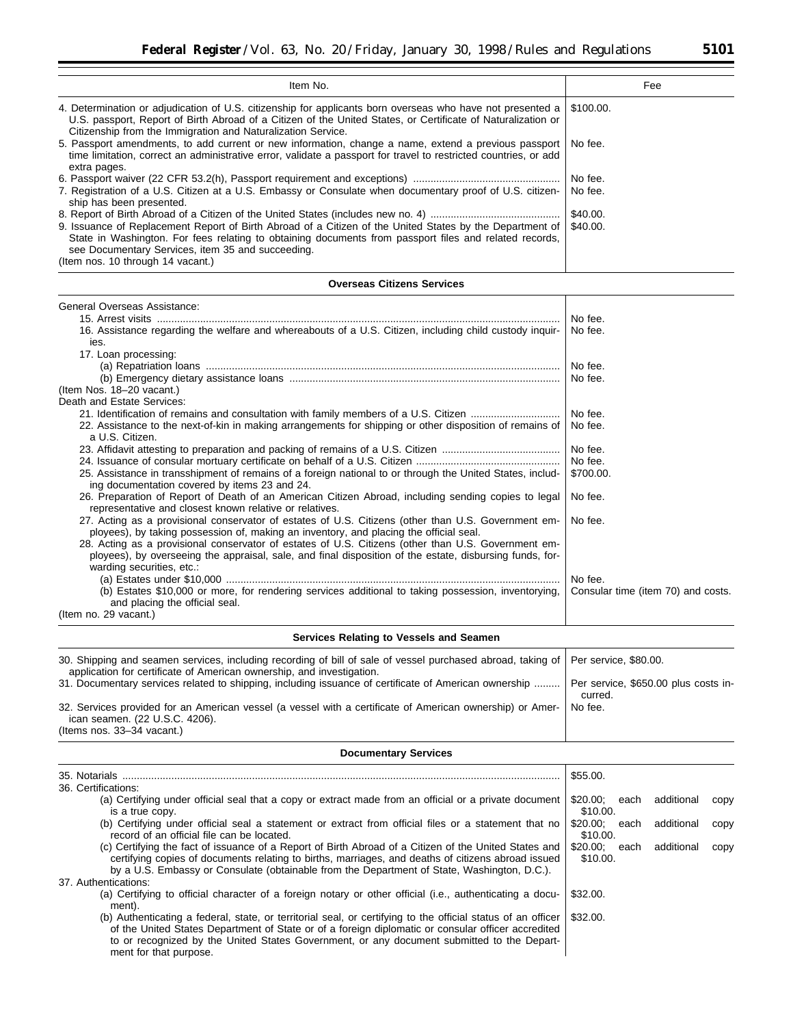| Item No.                                                                                                                                                                                                                                                                                                                                                        | Fee                                                           |
|-----------------------------------------------------------------------------------------------------------------------------------------------------------------------------------------------------------------------------------------------------------------------------------------------------------------------------------------------------------------|---------------------------------------------------------------|
| 4. Determination or adjudication of U.S. citizenship for applicants born overseas who have not presented a<br>U.S. passport, Report of Birth Abroad of a Citizen of the United States, or Certificate of Naturalization or<br>Citizenship from the Immigration and Naturalization Service.                                                                      | \$100.00.                                                     |
| 5. Passport amendments, to add current or new information, change a name, extend a previous passport<br>time limitation, correct an administrative error, validate a passport for travel to restricted countries, or add<br>extra pages.                                                                                                                        | No fee.                                                       |
| 7. Registration of a U.S. Citizen at a U.S. Embassy or Consulate when documentary proof of U.S. citizen-<br>ship has been presented.                                                                                                                                                                                                                            | No fee.<br>No fee.                                            |
| 9. Issuance of Replacement Report of Birth Abroad of a Citizen of the United States by the Department of<br>State in Washington. For fees relating to obtaining documents from passport files and related records,<br>see Documentary Services, item 35 and succeeding.<br>(Item nos. 10 through 14 vacant.)                                                    | \$40.00.<br>\$40.00.                                          |
| <b>Overseas Citizens Services</b>                                                                                                                                                                                                                                                                                                                               |                                                               |
| General Overseas Assistance:                                                                                                                                                                                                                                                                                                                                    |                                                               |
| 16. Assistance regarding the welfare and whereabouts of a U.S. Citizen, including child custody inquir-<br>ies.                                                                                                                                                                                                                                                 | No fee.<br>No fee.                                            |
| 17. Loan processing:                                                                                                                                                                                                                                                                                                                                            | No fee.                                                       |
| (Item Nos. 18-20 vacant.)                                                                                                                                                                                                                                                                                                                                       | No fee.                                                       |
| Death and Estate Services:<br>21. Identification of remains and consultation with family members of a U.S. Citizen                                                                                                                                                                                                                                              | No fee.                                                       |
| 22. Assistance to the next-of-kin in making arrangements for shipping or other disposition of remains of<br>a U.S. Citizen.                                                                                                                                                                                                                                     | No fee.                                                       |
|                                                                                                                                                                                                                                                                                                                                                                 | No fee.                                                       |
| 25. Assistance in transshipment of remains of a foreign national to or through the United States, includ-                                                                                                                                                                                                                                                       | No fee.<br>\$700.00.                                          |
| ing documentation covered by items 23 and 24.<br>26. Preparation of Report of Death of an American Citizen Abroad, including sending copies to legal                                                                                                                                                                                                            | No fee.                                                       |
| representative and closest known relative or relatives.<br>27. Acting as a provisional conservator of estates of U.S. Citizens (other than U.S. Government em-<br>ployees), by taking possession of, making an inventory, and placing the official seal.<br>28. Acting as a provisional conservator of estates of U.S. Citizens (other than U.S. Government em- | No fee.                                                       |
| ployees), by overseeing the appraisal, sale, and final disposition of the estate, disbursing funds, for-<br>warding securities, etc.:<br>(b) Estates \$10,000 or more, for rendering services additional to taking possession, inventorying,<br>and placing the official seal.                                                                                  | No fee.<br>Consular time (item 70) and costs.                 |
| (Item no. 29 vacant.)                                                                                                                                                                                                                                                                                                                                           |                                                               |
| Services Relating to Vessels and Seamen                                                                                                                                                                                                                                                                                                                         |                                                               |
| 30. Shipping and seamen services, including recording of bill of sale of vessel purchased abroad, taking of<br>application for certificate of American ownership, and investigation.<br>31. Documentary services related to shipping, including issuance of certificate of American ownership                                                                   | Per service, \$80.00.<br>Per service, \$650.00 plus costs in- |
| 32. Services provided for an American vessel (a vessel with a certificate of American ownership) or Amer-<br>ican seamen. (22 U.S.C. 4206).<br>(Items nos. 33-34 vacant.)                                                                                                                                                                                       | curred.<br>No fee.                                            |
| <b>Documentary Services</b>                                                                                                                                                                                                                                                                                                                                     |                                                               |
|                                                                                                                                                                                                                                                                                                                                                                 | \$55.00.                                                      |
| 36. Certifications:<br>(a) Certifying under official seal that a copy or extract made from an official or a private document                                                                                                                                                                                                                                    | \$20.00;<br>additional<br>each<br>copy                        |
| is a true copy.<br>(b) Certifying under official seal a statement or extract from official files or a statement that no                                                                                                                                                                                                                                         | \$10.00.<br>\$20.00;<br>additional<br>each<br>copy            |
| record of an official file can be located.<br>(c) Certifying the fact of issuance of a Report of Birth Abroad of a Citizen of the United States and<br>certifying copies of documents relating to births, marriages, and deaths of citizens abroad issued<br>by a U.S. Embassy or Consulate (obtainable from the Department of State, Washington, D.C.).        | \$10.00.<br>\$20.00; each<br>additional<br>copy<br>\$10.00.   |
| 37. Authentications:<br>(a) Certifying to official character of a foreign notary or other official (i.e., authenticating a docu-<br>ment).                                                                                                                                                                                                                      | \$32.00.                                                      |
| (b) Authenticating a federal, state, or territorial seal, or certifying to the official status of an officer<br>of the United States Department of State or of a foreign diplomatic or consular officer accredited<br>to or recognized by the United States Government, or any document submitted to the Depart-                                                | \$32.00.                                                      |

ment for that purpose.

▀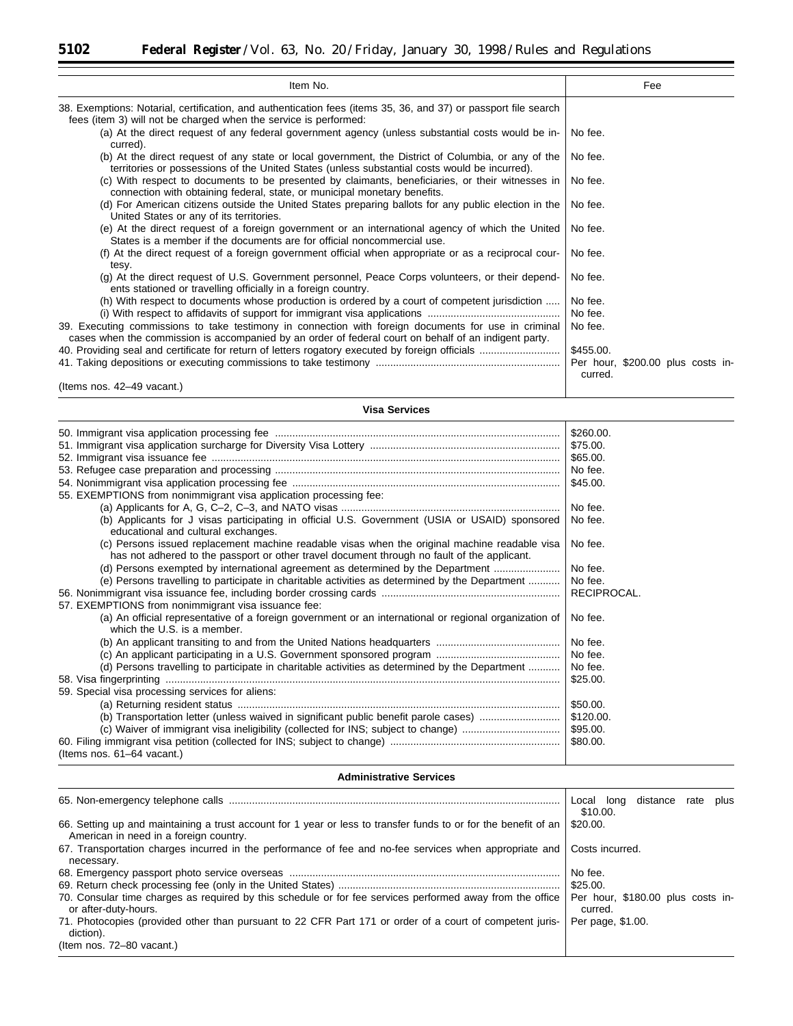| Item No.                                                                                                                                                                                                      | Fee                                          |
|---------------------------------------------------------------------------------------------------------------------------------------------------------------------------------------------------------------|----------------------------------------------|
| 38. Exemptions: Notarial, certification, and authentication fees (items 35, 36, and 37) or passport file search<br>fees (item 3) will not be charged when the service is performed:                           |                                              |
| (a) At the direct request of any federal government agency (unless substantial costs would be in-<br>curred).                                                                                                 | No fee.                                      |
| (b) At the direct request of any state or local government, the District of Columbia, or any of the<br>territories or possessions of the United States (unless substantial costs would be incurred).          | No fee.                                      |
| (c) With respect to documents to be presented by claimants, beneficiaries, or their witnesses in<br>connection with obtaining federal, state, or municipal monetary benefits.                                 | No fee.                                      |
| (d) For American citizens outside the United States preparing ballots for any public election in the<br>United States or any of its territories.                                                              | No fee.                                      |
| (e) At the direct request of a foreign government or an international agency of which the United<br>States is a member if the documents are for official noncommercial use.                                   | No fee.                                      |
| (f) At the direct request of a foreign government official when appropriate or as a reciprocal cour-<br>tesy.                                                                                                 | No fee.                                      |
| (g) At the direct request of U.S. Government personnel, Peace Corps volunteers, or their depend-<br>ents stationed or travelling officially in a foreign country.                                             | No fee.                                      |
| (h) With respect to documents whose production is ordered by a court of competent jurisdiction                                                                                                                | No fee.                                      |
|                                                                                                                                                                                                               | No fee.                                      |
| 39. Executing commissions to take testimony in connection with foreign documents for use in criminal<br>cases when the commission is accompanied by an order of federal court on behalf of an indigent party. | No fee.                                      |
|                                                                                                                                                                                                               | \$455.00.                                    |
|                                                                                                                                                                                                               | Per hour, \$200.00 plus costs in-<br>curred. |
| (Items nos. 42–49 vacant.)                                                                                                                                                                                    |                                              |

**Visa Services**

|                                                                                                                                                                                              | \$260.00.   |
|----------------------------------------------------------------------------------------------------------------------------------------------------------------------------------------------|-------------|
|                                                                                                                                                                                              | \$75.00.    |
|                                                                                                                                                                                              | \$65.00.    |
|                                                                                                                                                                                              | No fee.     |
|                                                                                                                                                                                              | \$45.00.    |
| 55. EXEMPTIONS from nonimmigrant visa application processing fee:                                                                                                                            |             |
|                                                                                                                                                                                              | No fee.     |
| (b) Applicants for J visas participating in official U.S. Government (USIA or USAID) sponsored                                                                                               | No fee.     |
| educational and cultural exchanges.                                                                                                                                                          |             |
| (c) Persons issued replacement machine readable visas when the original machine readable visa<br>has not adhered to the passport or other travel document through no fault of the applicant. | No fee.     |
| (d) Persons exempted by international agreement as determined by the Department                                                                                                              | No fee.     |
| (e) Persons travelling to participate in charitable activities as determined by the Department                                                                                               | No fee.     |
|                                                                                                                                                                                              | RECIPROCAL. |
| 57. EXEMPTIONS from nonimmigrant visa issuance fee:                                                                                                                                          |             |
| (a) An official representative of a foreign government or an international or regional organization of<br>which the U.S. is a member.                                                        | No fee.     |
|                                                                                                                                                                                              | No fee.     |
|                                                                                                                                                                                              | No fee.     |
| (d) Persons travelling to participate in charitable activities as determined by the Department                                                                                               | No fee.     |
|                                                                                                                                                                                              | \$25.00.    |
| 59. Special visa processing services for aliens:                                                                                                                                             |             |
|                                                                                                                                                                                              | \$50.00.    |
| (b) Transportation letter (unless waived in significant public benefit parole cases)                                                                                                         | \$120.00.   |
| (c) Waiver of immigrant visa ineligibility (collected for INS; subject to change)                                                                                                            | \$95.00.    |
|                                                                                                                                                                                              | \$80.00.    |
| (Items nos. 61-64 vacant.)                                                                                                                                                                   |             |
|                                                                                                                                                                                              |             |

# **Administrative Services**

|                                                                                                                                                           | distance rate plus<br>Local long<br>\$10.00. |
|-----------------------------------------------------------------------------------------------------------------------------------------------------------|----------------------------------------------|
| 66. Setting up and maintaining a trust account for 1 year or less to transfer funds to or for the benefit of an<br>American in need in a foreign country. | \$20.00.                                     |
| 67. Transportation charges incurred in the performance of fee and no-fee services when appropriate and<br>necessary.                                      | Costs incurred.                              |
|                                                                                                                                                           | No fee.                                      |
|                                                                                                                                                           | \$25.00.                                     |
| 70. Consular time charges as required by this schedule or for fee services performed away from the office<br>or after-duty-hours.                         | Per hour, \$180.00 plus costs in-<br>curred. |
| 71. Photocopies (provided other than pursuant to 22 CFR Part 171 or order of a court of competent juris-<br>diction).                                     | Per page, \$1.00.                            |
| (Item nos. 72–80 vacant.)                                                                                                                                 |                                              |

Ξ